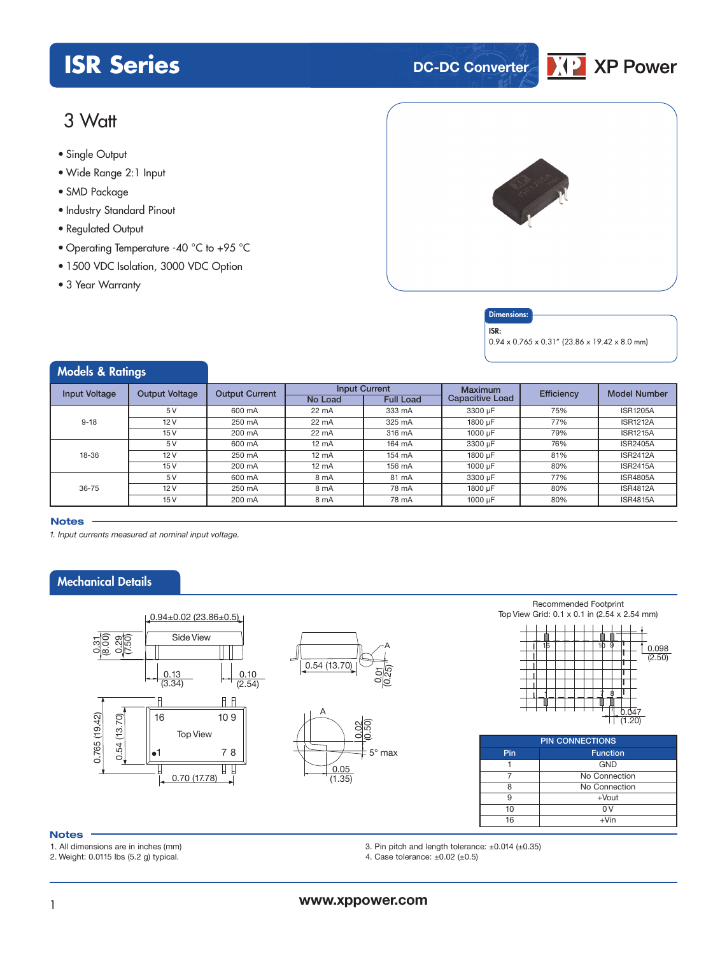# **ISR Series DC-DC** Converter

# 3 Watt

- **xxx Series** Single Output
- Wide Range 2:1 Input
- SMD Package
- Industry Standard Pinout
- Regulated Output
- Operating Temperature -40 °C to +95 °C
- 1500 VDC Isolation, 3000 VDC Option
- 3 Year Warranty



### Dimension

ISR:  $0.94 \times 0.765 \times 0.31''$  (23.86 x 19.42 x 8.0 mm)

**XP** Power

| <b>Models &amp; Ratings</b> |                       |                       |                 |                      |                        |                   |                     |
|-----------------------------|-----------------------|-----------------------|-----------------|----------------------|------------------------|-------------------|---------------------|
| <b>Input Voltage</b>        | <b>Output Voltage</b> | <b>Output Current</b> |                 | <b>Input Current</b> | <b>Maximum</b>         | <b>Efficiency</b> | <b>Model Number</b> |
|                             |                       |                       | No Load         | <b>Full Load</b>     | <b>Capacitive Load</b> |                   |                     |
|                             | 5V                    | 600 mA                | 22 mA           | 333 mA               | 3300 µF                | 75%               | <b>ISR1205A</b>     |
| $9 - 18$                    | 12V                   | 250 mA                | 22 mA           | 325 mA               | 1800 µF                | 77%               | <b>ISR1212A</b>     |
|                             | 15V                   | 200 mA                | 22 mA           | 316 mA               | $1000 \mu F$           | 79%               | <b>ISR1215A</b>     |
|                             | 5V                    | 600 mA                | $12 \text{ mA}$ | 164 mA               | 3300 µF                | 76%               | <b>ISR2405A</b>     |
| 18-36                       | 12V                   | 250 mA                | $12 \text{ mA}$ | 154 mA               | 1800 µF                | 81%               | <b>ISR2412A</b>     |
|                             | 15V                   | 200 mA                | $12 \text{ mA}$ | 156 mA               | $1000 \mu F$           | 80%               | <b>ISR2415A</b>     |
|                             | 5V                    | 600 mA                | 8 mA            | 81 mA                | 3300 µF                | 77%               | <b>ISR4805A</b>     |
| $36 - 75$                   | 12V                   | 250 mA                | 8 mA            | 78 mA                | 1800 µF                | 80%               | <b>ISR4812A</b>     |
|                             | 15V                   | 200 mA                | 8 mA            | 78 mA                | $1000 \mu F$           | 80%               | <b>ISR4815A</b>     |

#### **Notes**

*1. Input currents measured at nominal input voltage.*

## Mechanical Details







Recommended Footprint Top View Grid: 0.1 x 0.1 in (2.54 x 2.54 mm)



| <b>PIN CONNECTIONS</b> |               |  |  |  |  |  |
|------------------------|---------------|--|--|--|--|--|
| Pin<br><b>Function</b> |               |  |  |  |  |  |
|                        | <b>GND</b>    |  |  |  |  |  |
|                        | No Connection |  |  |  |  |  |
|                        | No Connection |  |  |  |  |  |
|                        | $+$ Vout      |  |  |  |  |  |
| 10                     |               |  |  |  |  |  |
| 16                     | $+V$ in       |  |  |  |  |  |

### **Notes**

1. All dimensions are in inches (mm)

2. Weight: 0.0115 lbs (5.2 g) typical.

3. Pin pitch and length tolerance: ±0.014 (±0.35) 4. Case tolerance:  $\pm 0.02$  ( $\pm 0.5$ )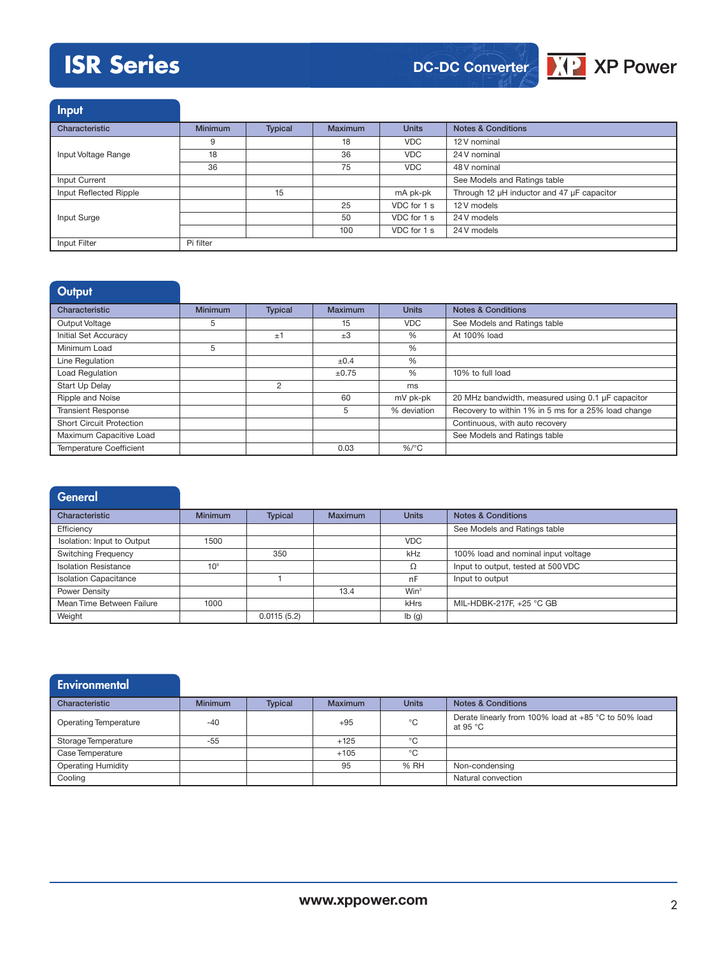# **ISR Series**



**Input** 

| ____                   |                |                |                |              |                                            |  |
|------------------------|----------------|----------------|----------------|--------------|--------------------------------------------|--|
| Characteristic         | <b>Minimum</b> | <b>Typical</b> | <b>Maximum</b> | <b>Units</b> | <b>Notes &amp; Conditions</b>              |  |
|                        | 9              |                | 18             | <b>VDC</b>   | 12 V nominal                               |  |
| Input Voltage Range    | 18             |                | 36             | <b>VDC</b>   | 24 V nominal                               |  |
|                        | 36             |                | 75             | <b>VDC</b>   | 48 V nominal                               |  |
| Input Current          |                |                |                |              | See Models and Ratings table               |  |
| Input Reflected Ripple |                | 15             |                | mA pk-pk     | Through 12 µH inductor and 47 µF capacitor |  |
|                        |                |                | 25             | VDC for 1 s  | 12 V models                                |  |
| Input Surge            |                |                | 50             | VDC for 1 s  | 24 V models                                |  |
|                        |                |                | 100            | VDC for 1 s  | 24 V models                                |  |
| Input Filter           | Pi filter      |                |                |              |                                            |  |

| Output                          |                |                |            |              |                                                     |
|---------------------------------|----------------|----------------|------------|--------------|-----------------------------------------------------|
| Characteristic                  | <b>Minimum</b> | <b>Typical</b> | Maximum    | <b>Units</b> | <b>Notes &amp; Conditions</b>                       |
| Output Voltage                  | 5              |                | 15         | <b>VDC</b>   | See Models and Ratings table                        |
| <b>Initial Set Accuracy</b>     |                | ±1             | $+3$       | $\%$         | At 100% load                                        |
| Minimum Load                    | 5              |                |            | %            |                                                     |
| Line Regulation                 |                |                | ±0.4       | %            |                                                     |
| Load Regulation                 |                |                | $\pm 0.75$ | $\%$         | 10% to full load                                    |
| Start Up Delay                  |                | 2              |            | ms           |                                                     |
| Ripple and Noise                |                |                | 60         | mV pk-pk     | 20 MHz bandwidth, measured using 0.1 µF capacitor   |
| <b>Transient Response</b>       |                |                | 5          | % deviation  | Recovery to within 1% in 5 ms for a 25% load change |
| <b>Short Circuit Protection</b> |                |                |            |              | Continuous, with auto recovery                      |
| Maximum Capacitive Load         |                |                |            |              | See Models and Ratings table                        |
| <b>Temperature Coefficient</b>  |                |                | 0.03       | $%$ /°C      |                                                     |

| <b>General</b>               |                 |                |                |                  |                                     |
|------------------------------|-----------------|----------------|----------------|------------------|-------------------------------------|
| Characteristic               | <b>Minimum</b>  | <b>Typical</b> | <b>Maximum</b> | <b>Units</b>     | <b>Notes &amp; Conditions</b>       |
| Efficiency                   |                 |                |                |                  | See Models and Ratings table        |
| Isolation: Input to Output   | 1500            |                |                | <b>VDC</b>       |                                     |
| <b>Switching Frequency</b>   |                 | 350            |                | kHz              | 100% load and nominal input voltage |
| <b>Isolation Resistance</b>  | 10 <sup>9</sup> |                |                | Ω                | Input to output, tested at 500 VDC  |
| <b>Isolation Capacitance</b> |                 |                |                | nF               | Input to output                     |
| Power Density                |                 |                | 13.4           | Win <sup>3</sup> |                                     |
| Mean Time Between Failure    | 1000            |                |                | kHrs             | MIL-HDBK-217F, +25 °C GB            |
| Weight                       |                 | 0.0115(5.2)    |                | lb(g)            |                                     |

| Environmental                |                |                |                |              |                                                                  |
|------------------------------|----------------|----------------|----------------|--------------|------------------------------------------------------------------|
| Characteristic               | <b>Minimum</b> | <b>Typical</b> | <b>Maximum</b> | <b>Units</b> | <b>Notes &amp; Conditions</b>                                    |
| <b>Operating Temperature</b> | $-40$          |                | $+95$          | °C           | Derate linearly from 100% load at +85 °C to 50% load<br>at 95 °C |
| Storage Temperature          | $-55$          |                | $+125$         | $^{\circ}$ C |                                                                  |
| Case Temperature             |                |                | $+105$         | °C           |                                                                  |
| <b>Operating Humidity</b>    |                |                | 95             | % RH         | Non-condensing                                                   |
| Cooling                      |                |                |                |              | Natural convection                                               |